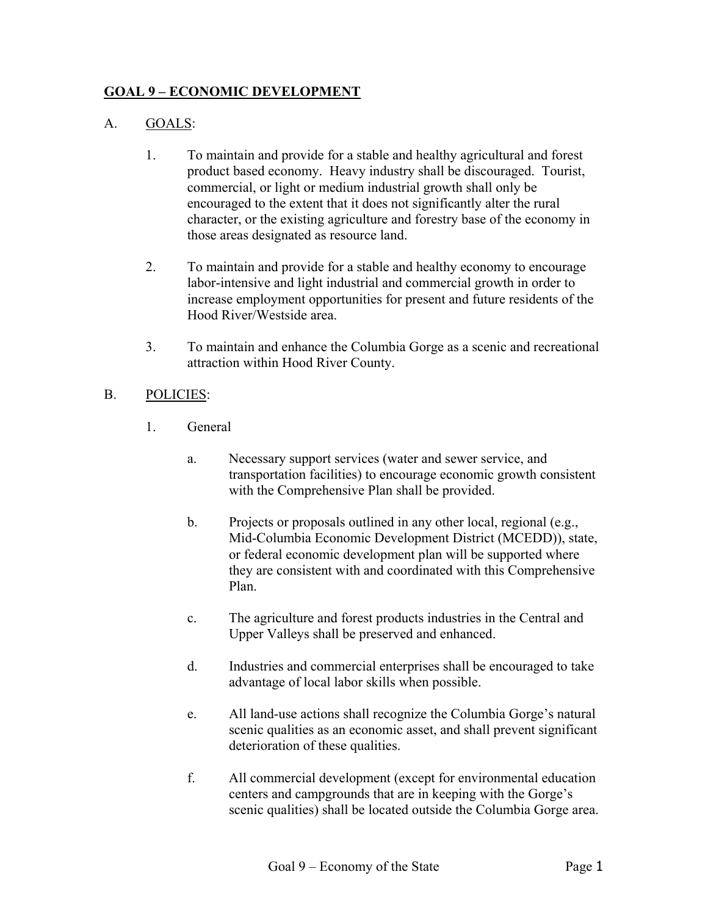# **GOAL 9 – ECONOMIC DEVELOPMENT**

### A. GOALS:

- 1. To maintain and provide for a stable and healthy agricultural and forest product based economy. Heavy industry shall be discouraged. Tourist, commercial, or light or medium industrial growth shall only be encouraged to the extent that it does not significantly alter the rural character, or the existing agriculture and forestry base of the economy in those areas designated as resource land.
- 2. To maintain and provide for a stable and healthy economy to encourage labor-intensive and light industrial and commercial growth in order to increase employment opportunities for present and future residents of the Hood River/Westside area.
- 3. To maintain and enhance the Columbia Gorge as a scenic and recreational attraction within Hood River County.

#### B. POLICIES:

- 1. General
	- a. Necessary support services (water and sewer service, and transportation facilities) to encourage economic growth consistent with the Comprehensive Plan shall be provided.
	- b. Projects or proposals outlined in any other local, regional (e.g., Mid-Columbia Economic Development District (MCEDD)), state, or federal economic development plan will be supported where they are consistent with and coordinated with this Comprehensive Plan.
	- c. The agriculture and forest products industries in the Central and Upper Valleys shall be preserved and enhanced.
	- d. Industries and commercial enterprises shall be encouraged to take advantage of local labor skills when possible.
	- e. All land-use actions shall recognize the Columbia Gorge's natural scenic qualities as an economic asset, and shall prevent significant deterioration of these qualities.
	- f. All commercial development (except for environmental education centers and campgrounds that are in keeping with the Gorge's scenic qualities) shall be located outside the Columbia Gorge area.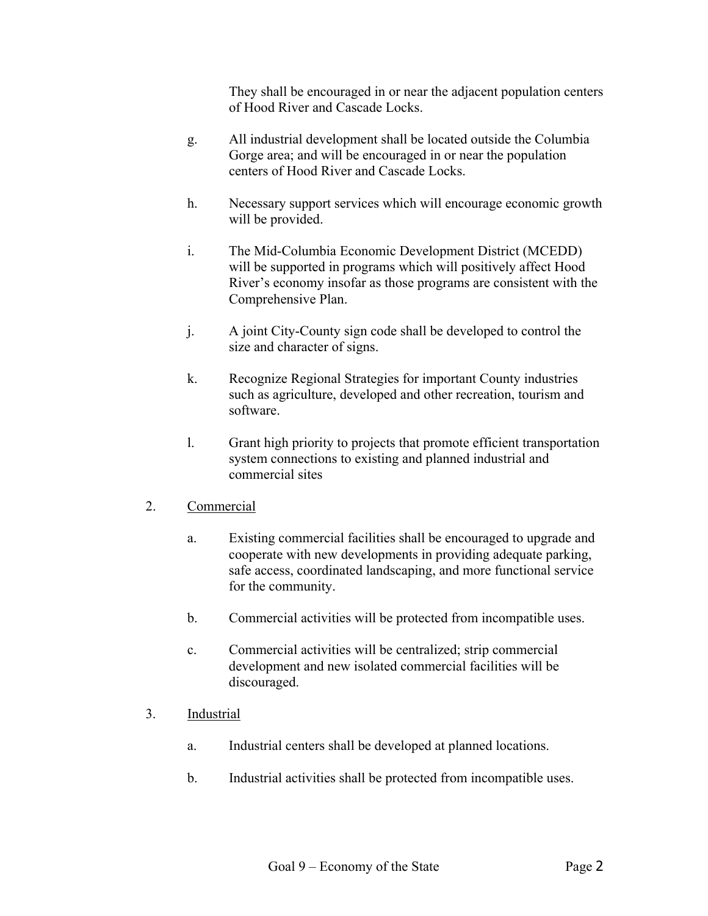They shall be encouraged in or near the adjacent population centers of Hood River and Cascade Locks.

- g. All industrial development shall be located outside the Columbia Gorge area; and will be encouraged in or near the population centers of Hood River and Cascade Locks.
- h. Necessary support services which will encourage economic growth will be provided.
- i. The Mid-Columbia Economic Development District (MCEDD) will be supported in programs which will positively affect Hood River's economy insofar as those programs are consistent with the Comprehensive Plan.
- j. A joint City-County sign code shall be developed to control the size and character of signs.
- k. Recognize Regional Strategies for important County industries such as agriculture, developed and other recreation, tourism and software.
- l. Grant high priority to projects that promote efficient transportation system connections to existing and planned industrial and commercial sites
- 2. Commercial
	- a. Existing commercial facilities shall be encouraged to upgrade and cooperate with new developments in providing adequate parking, safe access, coordinated landscaping, and more functional service for the community.
	- b. Commercial activities will be protected from incompatible uses.
	- c. Commercial activities will be centralized; strip commercial development and new isolated commercial facilities will be discouraged.
- 3. Industrial
	- a. Industrial centers shall be developed at planned locations.
	- b. Industrial activities shall be protected from incompatible uses.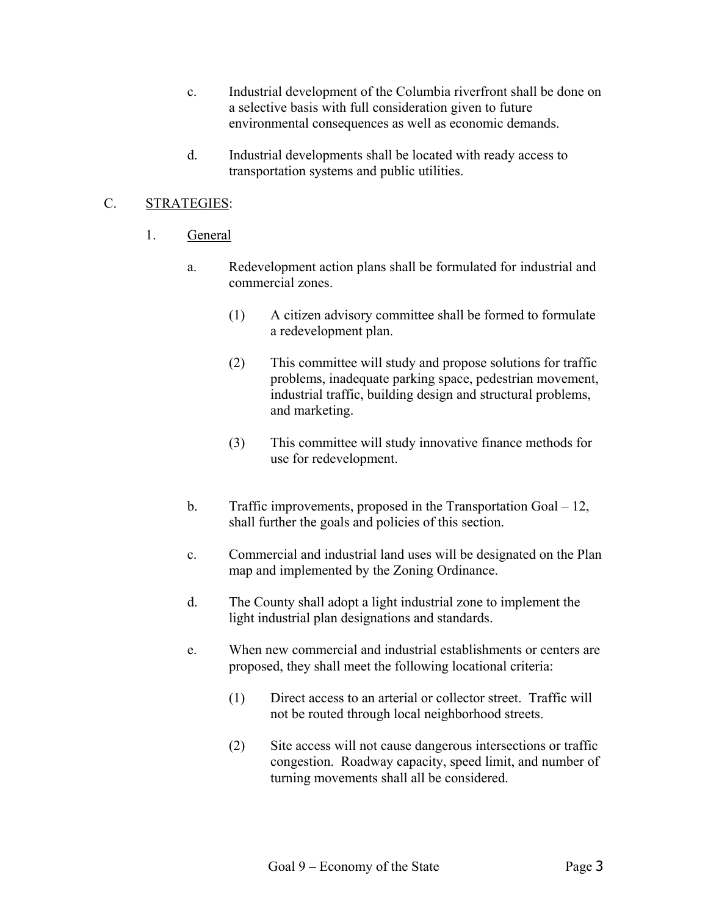- c. Industrial development of the Columbia riverfront shall be done on a selective basis with full consideration given to future environmental consequences as well as economic demands.
- d. Industrial developments shall be located with ready access to transportation systems and public utilities.

## C. STRATEGIES:

- 1. General
	- a. Redevelopment action plans shall be formulated for industrial and commercial zones.
		- (1) A citizen advisory committee shall be formed to formulate a redevelopment plan.
		- (2) This committee will study and propose solutions for traffic problems, inadequate parking space, pedestrian movement, industrial traffic, building design and structural problems, and marketing.
		- (3) This committee will study innovative finance methods for use for redevelopment.
	- b. Traffic improvements, proposed in the Transportation Goal 12, shall further the goals and policies of this section.
	- c. Commercial and industrial land uses will be designated on the Plan map and implemented by the Zoning Ordinance.
	- d. The County shall adopt a light industrial zone to implement the light industrial plan designations and standards.
	- e. When new commercial and industrial establishments or centers are proposed, they shall meet the following locational criteria:
		- (1) Direct access to an arterial or collector street. Traffic will not be routed through local neighborhood streets.
		- (2) Site access will not cause dangerous intersections or traffic congestion. Roadway capacity, speed limit, and number of turning movements shall all be considered.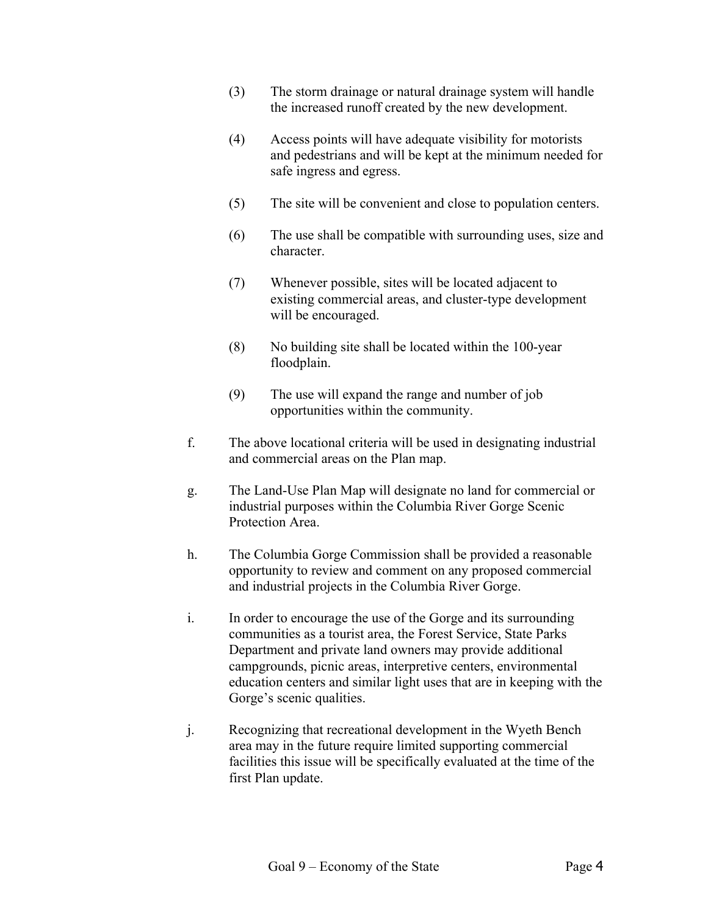- (3) The storm drainage or natural drainage system will handle the increased runoff created by the new development.
- (4) Access points will have adequate visibility for motorists and pedestrians and will be kept at the minimum needed for safe ingress and egress.
- (5) The site will be convenient and close to population centers.
- (6) The use shall be compatible with surrounding uses, size and character.
- (7) Whenever possible, sites will be located adjacent to existing commercial areas, and cluster-type development will be encouraged.
- (8) No building site shall be located within the 100-year floodplain.
- (9) The use will expand the range and number of job opportunities within the community.
- f. The above locational criteria will be used in designating industrial and commercial areas on the Plan map.
- g. The Land-Use Plan Map will designate no land for commercial or industrial purposes within the Columbia River Gorge Scenic Protection Area.
- h. The Columbia Gorge Commission shall be provided a reasonable opportunity to review and comment on any proposed commercial and industrial projects in the Columbia River Gorge.
- i. In order to encourage the use of the Gorge and its surrounding communities as a tourist area, the Forest Service, State Parks Department and private land owners may provide additional campgrounds, picnic areas, interpretive centers, environmental education centers and similar light uses that are in keeping with the Gorge's scenic qualities.
- j. Recognizing that recreational development in the Wyeth Bench area may in the future require limited supporting commercial facilities this issue will be specifically evaluated at the time of the first Plan update.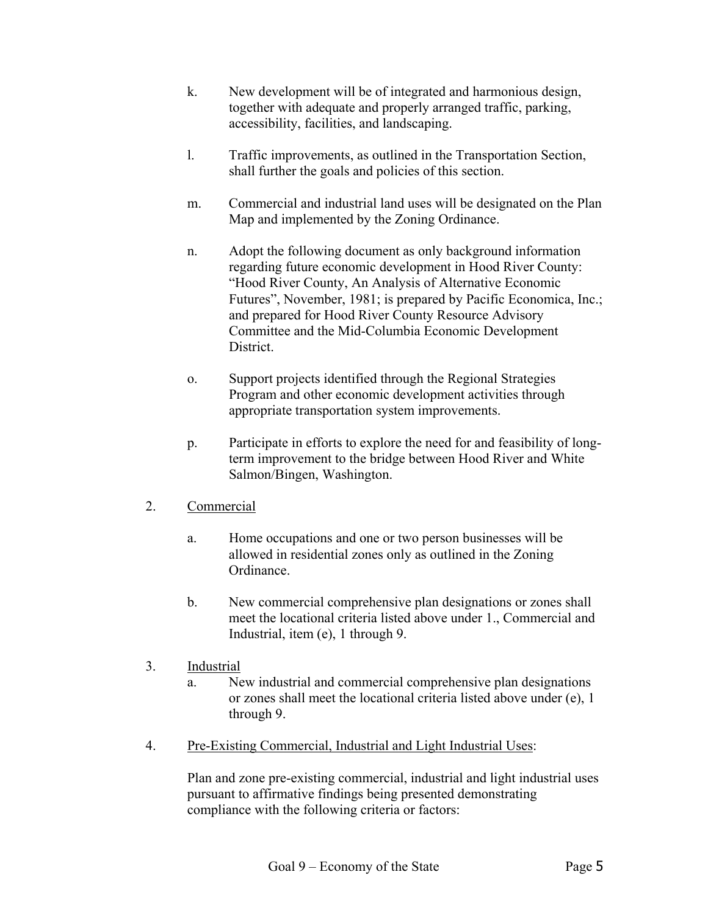- k. New development will be of integrated and harmonious design, together with adequate and properly arranged traffic, parking, accessibility, facilities, and landscaping.
- l. Traffic improvements, as outlined in the Transportation Section, shall further the goals and policies of this section.
- m. Commercial and industrial land uses will be designated on the Plan Map and implemented by the Zoning Ordinance.
- n. Adopt the following document as only background information regarding future economic development in Hood River County: "Hood River County, An Analysis of Alternative Economic Futures", November, 1981; is prepared by Pacific Economica, Inc.; and prepared for Hood River County Resource Advisory Committee and the Mid-Columbia Economic Development District.
- o. Support projects identified through the Regional Strategies Program and other economic development activities through appropriate transportation system improvements.
- p. Participate in efforts to explore the need for and feasibility of longterm improvement to the bridge between Hood River and White Salmon/Bingen, Washington.
- 2. Commercial
	- a. Home occupations and one or two person businesses will be allowed in residential zones only as outlined in the Zoning Ordinance.
	- b. New commercial comprehensive plan designations or zones shall meet the locational criteria listed above under 1., Commercial and Industrial, item (e), 1 through 9.
- 3. Industrial
	- a. New industrial and commercial comprehensive plan designations or zones shall meet the locational criteria listed above under (e), 1 through 9.
- 4. Pre-Existing Commercial, Industrial and Light Industrial Uses:

Plan and zone pre-existing commercial, industrial and light industrial uses pursuant to affirmative findings being presented demonstrating compliance with the following criteria or factors: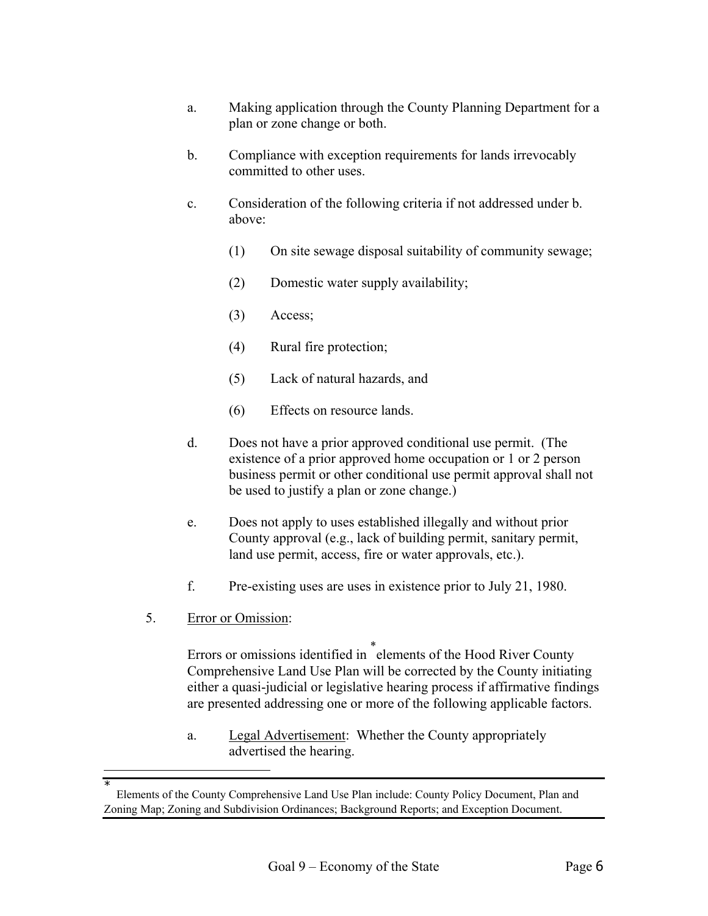- a. Making application through the County Planning Department for a plan or zone change or both.
- b. Compliance with exception requirements for lands irrevocably committed to other uses.
- c. Consideration of the following criteria if not addressed under b. above:
	- (1) On site sewage disposal suitability of community sewage;
	- (2) Domestic water supply availability;
	- (3) Access;
	- (4) Rural fire protection;
	- (5) Lack of natural hazards, and
	- (6) Effects on resource lands.
- d. Does not have a prior approved conditional use permit. (The existence of a prior approved home occupation or 1 or 2 person business permit or other conditional use permit approval shall not be used to justify a plan or zone change.)
- e. Does not apply to uses established illegally and without prior County approval (e.g., lack of building permit, sanitary permit, land use permit, access, fire or water approvals, etc.).
- f. Pre-existing uses are uses in existence prior to July 21, 1980.
- 5. Error or Omission:

 $\overline{a}$ 

Errors or omissions identified in [\\*](#page-5-0) elements of the Hood River County Comprehensive Land Use Plan will be corrected by the County initiating either a quasi-judicial or legislative hearing process if affirmative findings are presented addressing one or more of the following applicable factors.

a. Legal Advertisement: Whether the County appropriately advertised the hearing.

<span id="page-5-0"></span><sup>\*</sup> Elements of the County Comprehensive Land Use Plan include: County Policy Document, Plan and Zoning Map; Zoning and Subdivision Ordinances; Background Reports; and Exception Document.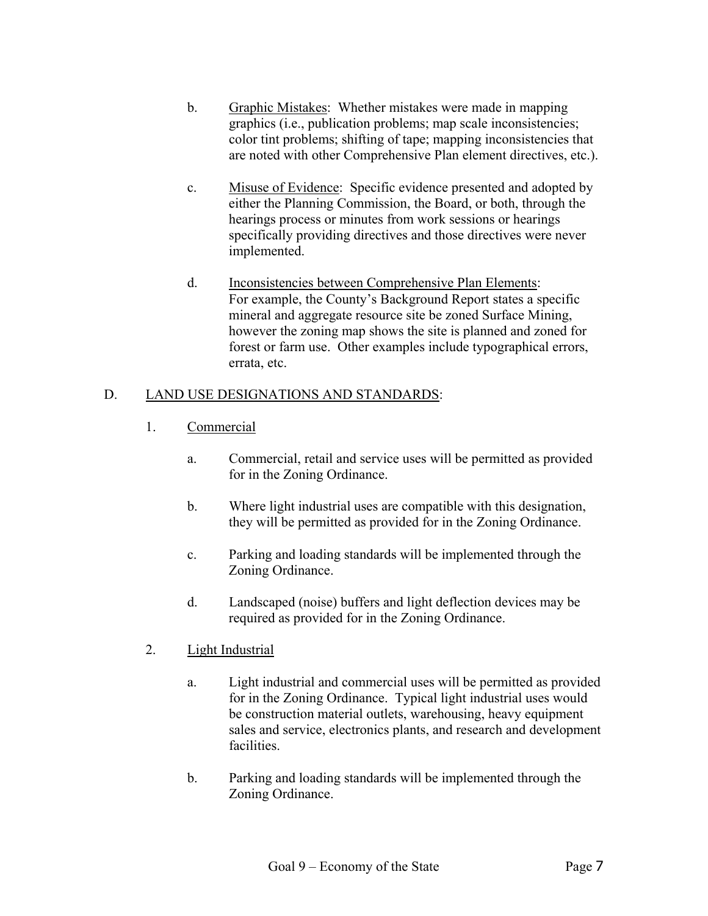- b. Graphic Mistakes: Whether mistakes were made in mapping graphics (i.e., publication problems; map scale inconsistencies; color tint problems; shifting of tape; mapping inconsistencies that are noted with other Comprehensive Plan element directives, etc.).
- c. Misuse of Evidence: Specific evidence presented and adopted by either the Planning Commission, the Board, or both, through the hearings process or minutes from work sessions or hearings specifically providing directives and those directives were never implemented.
- d. Inconsistencies between Comprehensive Plan Elements: For example, the County's Background Report states a specific mineral and aggregate resource site be zoned Surface Mining, however the zoning map shows the site is planned and zoned for forest or farm use. Other examples include typographical errors, errata, etc.

# D. LAND USE DESIGNATIONS AND STANDARDS:

- 1. Commercial
	- a. Commercial, retail and service uses will be permitted as provided for in the Zoning Ordinance.
	- b. Where light industrial uses are compatible with this designation, they will be permitted as provided for in the Zoning Ordinance.
	- c. Parking and loading standards will be implemented through the Zoning Ordinance.
	- d. Landscaped (noise) buffers and light deflection devices may be required as provided for in the Zoning Ordinance.
- 2. Light Industrial
	- a. Light industrial and commercial uses will be permitted as provided for in the Zoning Ordinance. Typical light industrial uses would be construction material outlets, warehousing, heavy equipment sales and service, electronics plants, and research and development facilities.
	- b. Parking and loading standards will be implemented through the Zoning Ordinance.